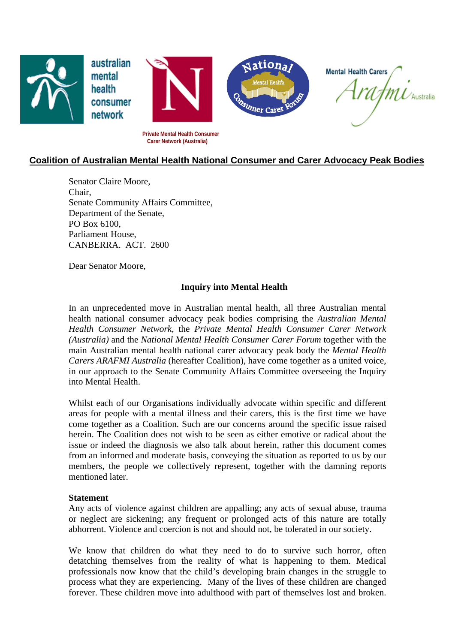

# **Coalition of Australian Mental Health National Consumer and Carer Advocacy Peak Bodies**

Senator Claire Moore, Chair, Senate Community Affairs Committee, Department of the Senate, PO Box 6100, Parliament House, CANBERRA. ACT. 2600

Dear Senator Moore,

#### **Inquiry into Mental Health**

In an unprecedented move in Australian mental health, all three Australian mental health national consumer advocacy peak bodies comprising the *Australian Mental Health Consumer Network,* the *Private Mental Health Consumer Carer Network (Australia)* and the *National Mental Health Consumer Carer Forum* together with the main Australian mental health national carer advocacy peak body the *Mental Health Carers ARAFMI Australia* (hereafter Coalition), have come together as a united voice, in our approach to the Senate Community Affairs Committee overseeing the Inquiry into Mental Health.

Whilst each of our Organisations individually advocate within specific and different areas for people with a mental illness and their carers, this is the first time we have come together as a Coalition. Such are our concerns around the specific issue raised herein. The Coalition does not wish to be seen as either emotive or radical about the issue or indeed the diagnosis we also talk about herein, rather this document comes from an informed and moderate basis, conveying the situation as reported to us by our members, the people we collectively represent, together with the damning reports mentioned later.

#### **Statement**

Any acts of violence against children are appalling; any acts of sexual abuse, trauma or neglect are sickening; any frequent or prolonged acts of this nature are totally abhorrent. Violence and coercion is not and should not, be tolerated in our society.

We know that children do what they need to do to survive such horror, often detatching themselves from the reality of what is happening to them. Medical professionals now know that the child's developing brain changes in the struggle to process what they are experiencing. Many of the lives of these children are changed forever. These children move into adulthood with part of themselves lost and broken.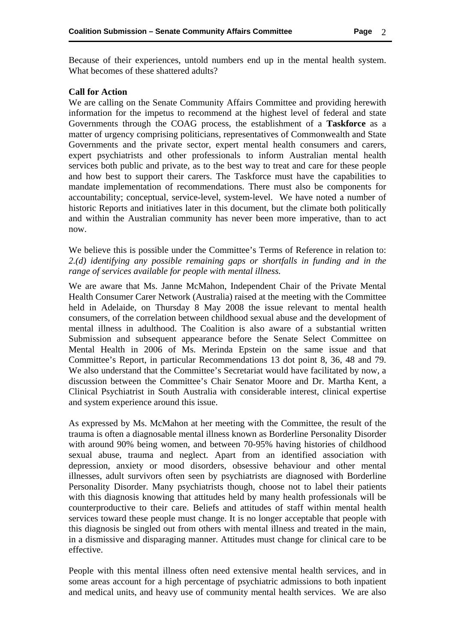Because of their experiences, untold numbers end up in the mental health system. What becomes of these shattered adults?

#### **Call for Action**

We are calling on the Senate Community Affairs Committee and providing herewith information for the impetus to recommend at the highest level of federal and state Governments through the COAG process, the establishment of a **Taskforce** as a matter of urgency comprising politicians, representatives of Commonwealth and State Governments and the private sector, expert mental health consumers and carers, expert psychiatrists and other professionals to inform Australian mental health services both public and private, as to the best way to treat and care for these people and how best to support their carers. The Taskforce must have the capabilities to mandate implementation of recommendations. There must also be components for accountability; conceptual, service-level, system-level. We have noted a number of historic Reports and initiatives later in this document, but the climate both politically and within the Australian community has never been more imperative, than to act now.

We believe this is possible under the Committee's Terms of Reference in relation to: *2.(d) identifying any possible remaining gaps or shortfalls in funding and in the range of services available for people with mental illness.*

We are aware that Ms. Janne McMahon, Independent Chair of the Private Mental Health Consumer Carer Network (Australia) raised at the meeting with the Committee held in Adelaide, on Thursday 8 May 2008 the issue relevant to mental health consumers, of the correlation between childhood sexual abuse and the development of mental illness in adulthood. The Coalition is also aware of a substantial written Submission and subsequent appearance before the Senate Select Committee on Mental Health in 2006 of Ms. Merinda Epstein on the same issue and that Committee's Report, in particular Recommendations 13 dot point 8, 36, 48 and 79. We also understand that the Committee's Secretariat would have facilitated by now, a discussion between the Committee's Chair Senator Moore and Dr. Martha Kent, a Clinical Psychiatrist in South Australia with considerable interest, clinical expertise and system experience around this issue.

As expressed by Ms. McMahon at her meeting with the Committee, the result of the trauma is often a diagnosable mental illness known as Borderline Personality Disorder with around 90% being women, and between 70-95% having histories of childhood sexual abuse, trauma and neglect. Apart from an identified association with depression, anxiety or mood disorders, obsessive behaviour and other mental illnesses, adult survivors often seen by psychiatrists are diagnosed with Borderline Personality Disorder. Many psychiatrists though, choose not to label their patients with this diagnosis knowing that attitudes held by many health professionals will be counterproductive to their care. Beliefs and attitudes of staff within mental health services toward these people must change. It is no longer acceptable that people with this diagnosis be singled out from others with mental illness and treated in the main, in a dismissive and disparaging manner. Attitudes must change for clinical care to be effective.

People with this mental illness often need extensive mental health services, and in some areas account for a high percentage of psychiatric admissions to both inpatient and medical units, and heavy use of community mental health services. We are also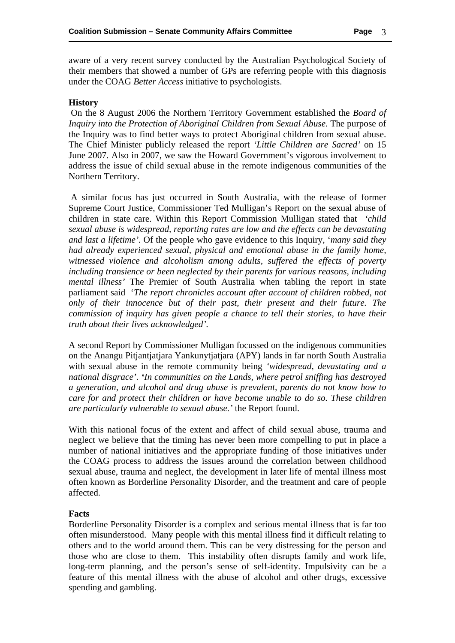aware of a very recent survey conducted by the Australian Psychological Society of their members that showed a number of GPs are referring people with this diagnosis under the COAG *Better Access* initiative to psychologists.

## **History**

 On the 8 August 2006 the Northern Territory Government established the *Board of Inquiry into the Protection of Aboriginal Children from Sexual Abuse.* The purpose of the Inquiry was to find better ways to protect Aboriginal children from sexual abuse. The Chief Minister publicly released the report *'Little Children are Sacred'* on 15 June 2007. Also in 2007, we saw the Howard Government's vigorous involvement to address the issue of child sexual abuse in the remote indigenous communities of the Northern Territory.

 A similar focus has just occurred in South Australia, with the release of former Supreme Court Justice, Commissioner Ted Mulligan's Report on the sexual abuse of children in state care. Within this Report Commission Mulligan stated that *'child sexual abuse is widespread, reporting rates are low and the effects can be devastating and last a lifetime'.* Of the people who gave evidence to this Inquiry, '*many said they had already experienced sexual, physical and emotional abuse in the family home, witnessed violence and alcoholism among adults, suffered the effects of poverty including transience or been neglected by their parents for various reasons, including mental illness'* The Premier of South Australia when tabling the report in state parliament said '*The report chronicles account after account of children robbed, not only of their innocence but of their past, their present and their future. The commission of inquiry has given people a chance to tell their stories, to have their truth about their lives acknowledged'.* 

A second Report by Commissioner Mulligan focussed on the indigenous communities on the Anangu Pitjantjatjara Yankunytjatjara (APY) lands in far north South Australia with sexual abuse in the remote community being *'widespread, devastating and a national disgrace'. 'In communities on the Lands, where petrol sniffing has destroyed a generation, and alcohol and drug abuse is prevalent, parents do not know how to care for and protect their children or have become unable to do so. These children are particularly vulnerable to sexual abuse.'* the Report found.

With this national focus of the extent and affect of child sexual abuse, trauma and neglect we believe that the timing has never been more compelling to put in place a number of national initiatives and the appropriate funding of those initiatives under the COAG process to address the issues around the correlation between childhood sexual abuse, trauma and neglect, the development in later life of mental illness most often known as Borderline Personality Disorder, and the treatment and care of people affected.

### **Facts**

Borderline Personality Disorder is a complex and serious mental illness that is far too often misunderstood. Many people with this mental illness find it difficult relating to others and to the world around them. This can be very distressing for the person and those who are close to them. This instability often disrupts family and work life, long-term planning, and the person's sense of self-identity. Impulsivity can be a feature of this mental illness with the abuse of alcohol and other drugs, excessive spending and gambling.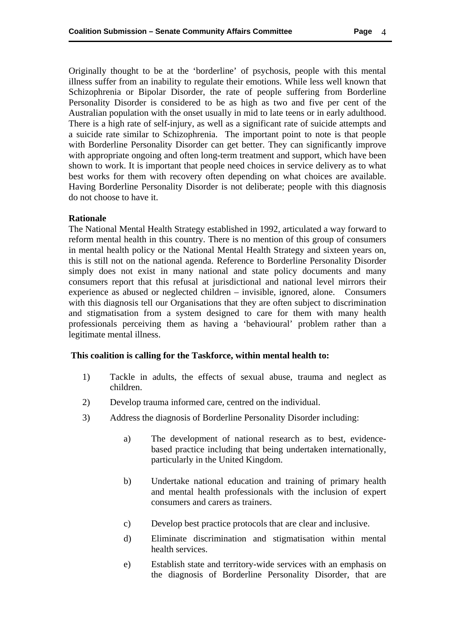Originally thought to be at the 'borderline' of psychosis, people with this mental illness suffer from an inability to regulate their emotions. While less well known that Schizophrenia or Bipolar Disorder, the rate of people suffering from Borderline Personality Disorder is considered to be as high as two and five per cent of the Australian population with the onset usually in mid to late teens or in early adulthood. There is a high rate of self-injury, as well as a significant rate of suicide attempts and a suicide rate similar to Schizophrenia. The important point to note is that people with Borderline Personality Disorder can get better. They can significantly improve with appropriate ongoing and often long-term treatment and support, which have been shown to work. It is important that people need choices in service delivery as to what best works for them with recovery often depending on what choices are available. Having Borderline Personality Disorder is not deliberate; people with this diagnosis do not choose to have it.

### **Rationale**

The National Mental Health Strategy established in 1992, articulated a way forward to reform mental health in this country. There is no mention of this group of consumers in mental health policy or the National Mental Health Strategy and sixteen years on, this is still not on the national agenda. Reference to Borderline Personality Disorder simply does not exist in many national and state policy documents and many consumers report that this refusal at jurisdictional and national level mirrors their experience as abused or neglected children – invisible, ignored, alone. Consumers with this diagnosis tell our Organisations that they are often subject to discrimination and stigmatisation from a system designed to care for them with many health professionals perceiving them as having a 'behavioural' problem rather than a legitimate mental illness.

### **This coalition is calling for the Taskforce, within mental health to:**

- 1) Tackle in adults, the effects of sexual abuse, trauma and neglect as children.
- 2) Develop trauma informed care, centred on the individual.
- 3) Address the diagnosis of Borderline Personality Disorder including:
	- a) The development of national research as to best, evidencebased practice including that being undertaken internationally, particularly in the United Kingdom.
	- b) Undertake national education and training of primary health and mental health professionals with the inclusion of expert consumers and carers as trainers.
	- c) Develop best practice protocols that are clear and inclusive.
	- d) Eliminate discrimination and stigmatisation within mental health services.
	- e) Establish state and territory-wide services with an emphasis on the diagnosis of Borderline Personality Disorder, that are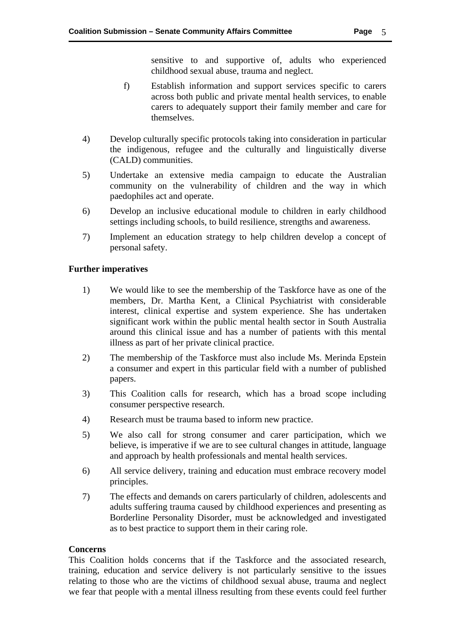sensitive to and supportive of, adults who experienced childhood sexual abuse, trauma and neglect.

- f) Establish information and support services specific to carers across both public and private mental health services, to enable carers to adequately support their family member and care for themselves.
- 4) Develop culturally specific protocols taking into consideration in particular the indigenous, refugee and the culturally and linguistically diverse (CALD) communities.
- 5) Undertake an extensive media campaign to educate the Australian community on the vulnerability of children and the way in which paedophiles act and operate.
- 6) Develop an inclusive educational module to children in early childhood settings including schools, to build resilience, strengths and awareness.
- 7) Implement an education strategy to help children develop a concept of personal safety.

# **Further imperatives**

- 1) We would like to see the membership of the Taskforce have as one of the members, Dr. Martha Kent, a Clinical Psychiatrist with considerable interest, clinical expertise and system experience. She has undertaken significant work within the public mental health sector in South Australia around this clinical issue and has a number of patients with this mental illness as part of her private clinical practice.
- 2) The membership of the Taskforce must also include Ms. Merinda Epstein a consumer and expert in this particular field with a number of published papers.
- 3) This Coalition calls for research, which has a broad scope including consumer perspective research.
- 4) Research must be trauma based to inform new practice.
- 5) We also call for strong consumer and carer participation, which we believe, is imperative if we are to see cultural changes in attitude, language and approach by health professionals and mental health services.
- 6) All service delivery, training and education must embrace recovery model principles.
- 7) The effects and demands on carers particularly of children, adolescents and adults suffering trauma caused by childhood experiences and presenting as Borderline Personality Disorder, must be acknowledged and investigated as to best practice to support them in their caring role.

### **Concerns**

This Coalition holds concerns that if the Taskforce and the associated research, training, education and service delivery is not particularly sensitive to the issues relating to those who are the victims of childhood sexual abuse, trauma and neglect we fear that people with a mental illness resulting from these events could feel further